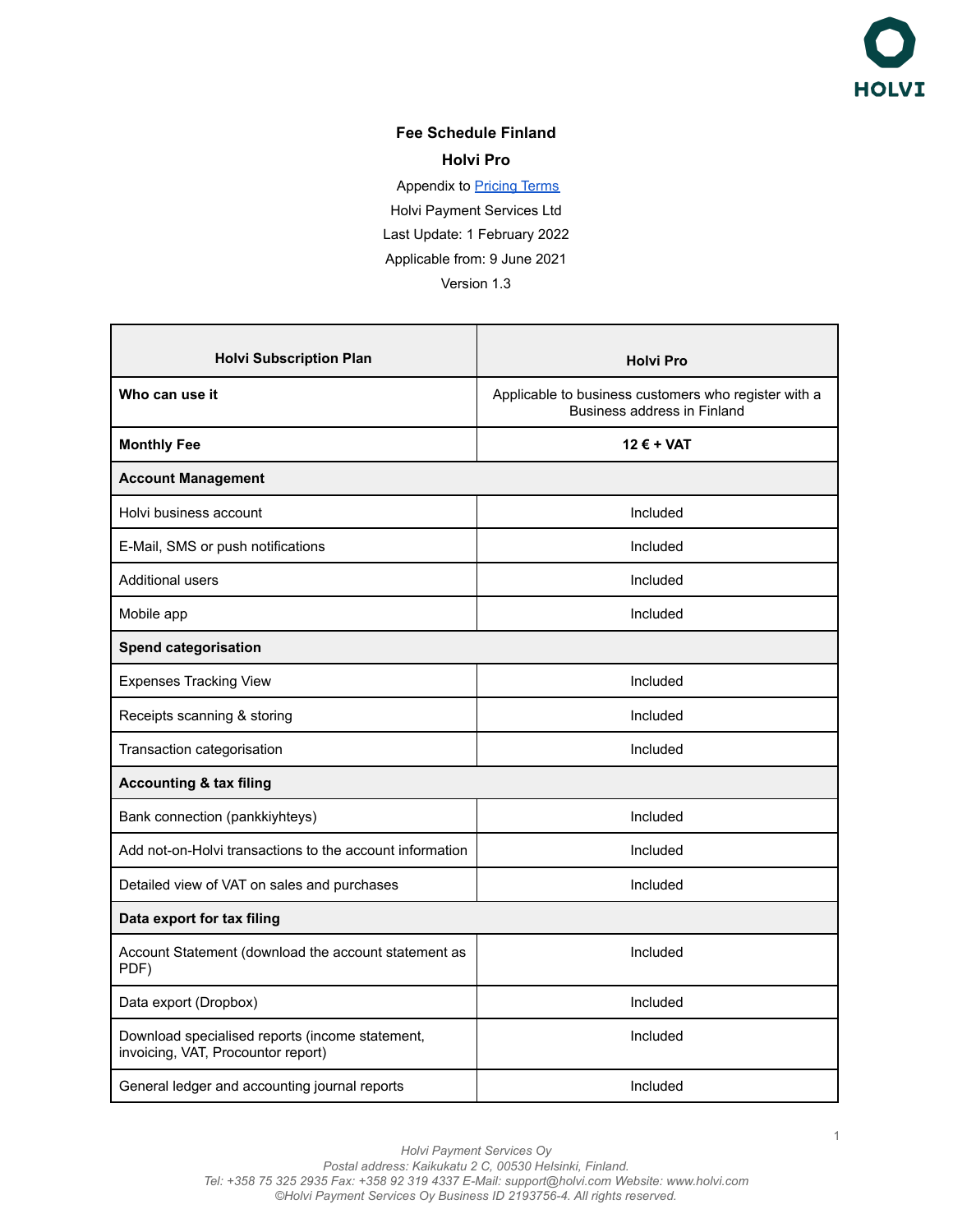

## **Fee Schedule Finland Holvi Pro**

Appendix to **[Pricing Terms](https://support.holvi.com/hc/en-gb/articles/360017501477-Pricing-Terms)** Holvi Payment Services Ltd Last Update: 1 February 2022 Applicable from: 9 June 2021 Version 1.3

| <b>Holvi Subscription Plan</b>                                                        | <b>Holvi Pro</b>                                                                    |  |
|---------------------------------------------------------------------------------------|-------------------------------------------------------------------------------------|--|
| Who can use it                                                                        | Applicable to business customers who register with a<br>Business address in Finland |  |
| <b>Monthly Fee</b>                                                                    | $12 \epsilon + \text{VAT}$                                                          |  |
| <b>Account Management</b>                                                             |                                                                                     |  |
| Holvi business account                                                                | Included                                                                            |  |
| E-Mail, SMS or push notifications                                                     | Included                                                                            |  |
| Additional users                                                                      | Included                                                                            |  |
| Mobile app                                                                            | Included                                                                            |  |
| <b>Spend categorisation</b>                                                           |                                                                                     |  |
| <b>Expenses Tracking View</b>                                                         | Included                                                                            |  |
| Receipts scanning & storing                                                           | Included                                                                            |  |
| Transaction categorisation                                                            | Included                                                                            |  |
| <b>Accounting &amp; tax filing</b>                                                    |                                                                                     |  |
| Bank connection (pankkiyhteys)                                                        | Included                                                                            |  |
| Add not-on-Holvi transactions to the account information                              | Included                                                                            |  |
| Detailed view of VAT on sales and purchases                                           | Included                                                                            |  |
| Data export for tax filing                                                            |                                                                                     |  |
| Account Statement (download the account statement as<br>PDF)                          | Included                                                                            |  |
| Data export (Dropbox)                                                                 | Included                                                                            |  |
| Download specialised reports (income statement,<br>invoicing, VAT, Procountor report) | Included                                                                            |  |
| General ledger and accounting journal reports                                         | Included                                                                            |  |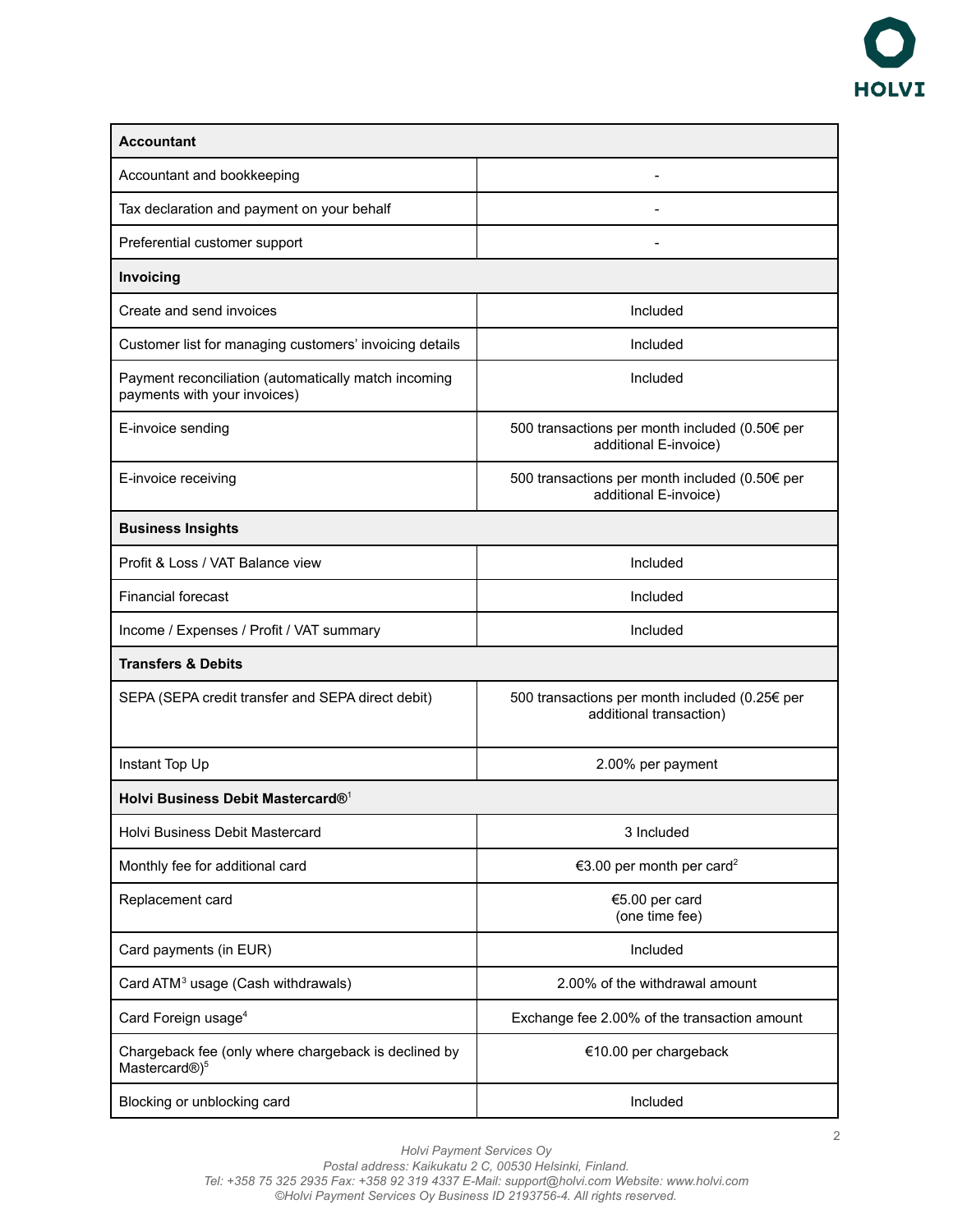

| <b>Accountant</b>                                                                    |                                                                           |  |
|--------------------------------------------------------------------------------------|---------------------------------------------------------------------------|--|
| Accountant and bookkeeping                                                           |                                                                           |  |
| Tax declaration and payment on your behalf                                           |                                                                           |  |
| Preferential customer support                                                        |                                                                           |  |
| Invoicing                                                                            |                                                                           |  |
| Create and send invoices                                                             | Included                                                                  |  |
| Customer list for managing customers' invoicing details                              | Included                                                                  |  |
| Payment reconciliation (automatically match incoming<br>payments with your invoices) | Included                                                                  |  |
| E-invoice sending                                                                    | 500 transactions per month included (0.50€ per<br>additional E-invoice)   |  |
| E-invoice receiving                                                                  | 500 transactions per month included (0.50€ per<br>additional E-invoice)   |  |
| <b>Business Insights</b>                                                             |                                                                           |  |
| Profit & Loss / VAT Balance view                                                     | Included                                                                  |  |
| <b>Financial forecast</b>                                                            | Included                                                                  |  |
| Income / Expenses / Profit / VAT summary                                             | Included                                                                  |  |
| <b>Transfers &amp; Debits</b>                                                        |                                                                           |  |
| SEPA (SEPA credit transfer and SEPA direct debit)                                    | 500 transactions per month included (0.25€ per<br>additional transaction) |  |
| Instant Top Up                                                                       | 2.00% per payment                                                         |  |
| Holvi Business Debit Mastercard® <sup>1</sup>                                        |                                                                           |  |
| Holvi Business Debit Mastercard                                                      | 3 Included                                                                |  |
| Monthly fee for additional card                                                      | €3.00 per month per card <sup>2</sup>                                     |  |
| Replacement card                                                                     | €5.00 per card<br>(one time fee)                                          |  |
| Card payments (in EUR)                                                               | Included                                                                  |  |
| Card ATM <sup>3</sup> usage (Cash withdrawals)                                       | 2.00% of the withdrawal amount                                            |  |
| Card Foreign usage <sup>4</sup>                                                      | Exchange fee 2.00% of the transaction amount                              |  |
| Chargeback fee (only where chargeback is declined by<br>Mastercard®) <sup>5</sup>    | €10.00 per chargeback                                                     |  |
| Blocking or unblocking card                                                          | Included                                                                  |  |

*Holvi Payment Services Oy*

*Postal address: Kaikukatu 2 C, 00530 Helsinki, Finland.*

*Tel: +358 75 325 2935 Fax: +358 92 319 4337 E-Mail: support@holvi.com Website: www.holvi.com ©Holvi Payment Services Oy Business ID 2193756-4. All rights reserved.*